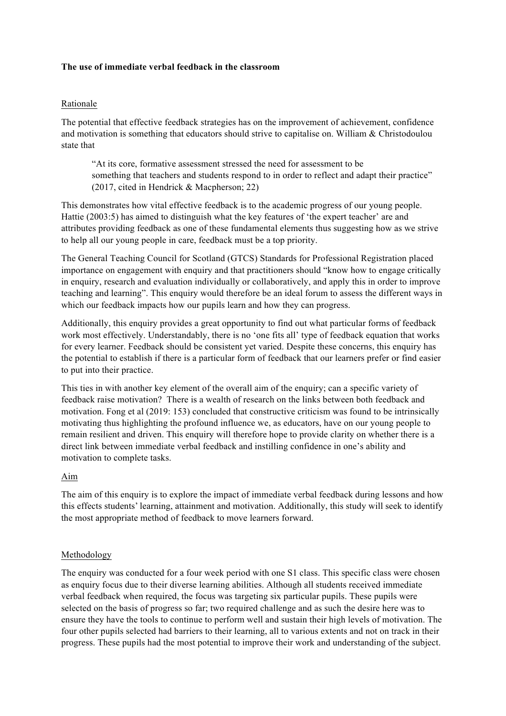## **The use of immediate verbal feedback in the classroom**

# Rationale

The potential that effective feedback strategies has on the improvement of achievement, confidence and motivation is something that educators should strive to capitalise on. William & Christodoulou state that

"At its core, formative assessment stressed the need for assessment to be something that teachers and students respond to in order to reflect and adapt their practice" (2017, cited in Hendrick & Macpherson; 22)

This demonstrates how vital effective feedback is to the academic progress of our young people. Hattie (2003:5) has aimed to distinguish what the key features of 'the expert teacher' are and attributes providing feedback as one of these fundamental elements thus suggesting how as we strive to help all our young people in care, feedback must be a top priority.

The General Teaching Council for Scotland (GTCS) Standards for Professional Registration placed importance on engagement with enquiry and that practitioners should "know how to engage critically in enquiry, research and evaluation individually or collaboratively, and apply this in order to improve teaching and learning". This enquiry would therefore be an ideal forum to assess the different ways in which our feedback impacts how our pupils learn and how they can progress.

Additionally, this enquiry provides a great opportunity to find out what particular forms of feedback work most effectively. Understandably, there is no 'one fits all' type of feedback equation that works for every learner. Feedback should be consistent yet varied. Despite these concerns, this enquiry has the potential to establish if there is a particular form of feedback that our learners prefer or find easier to put into their practice.

This ties in with another key element of the overall aim of the enquiry; can a specific variety of feedback raise motivation? There is a wealth of research on the links between both feedback and motivation. Fong et al (2019: 153) concluded that constructive criticism was found to be intrinsically motivating thus highlighting the profound influence we, as educators, have on our young people to remain resilient and driven. This enquiry will therefore hope to provide clarity on whether there is a direct link between immediate verbal feedback and instilling confidence in one's ability and motivation to complete tasks.

#### Aim

The aim of this enquiry is to explore the impact of immediate verbal feedback during lessons and how this effects students' learning, attainment and motivation. Additionally, this study will seek to identify the most appropriate method of feedback to move learners forward.

# Methodology

The enquiry was conducted for a four week period with one S1 class. This specific class were chosen as enquiry focus due to their diverse learning abilities. Although all students received immediate verbal feedback when required, the focus was targeting six particular pupils. These pupils were selected on the basis of progress so far; two required challenge and as such the desire here was to ensure they have the tools to continue to perform well and sustain their high levels of motivation. The four other pupils selected had barriers to their learning, all to various extents and not on track in their progress. These pupils had the most potential to improve their work and understanding of the subject.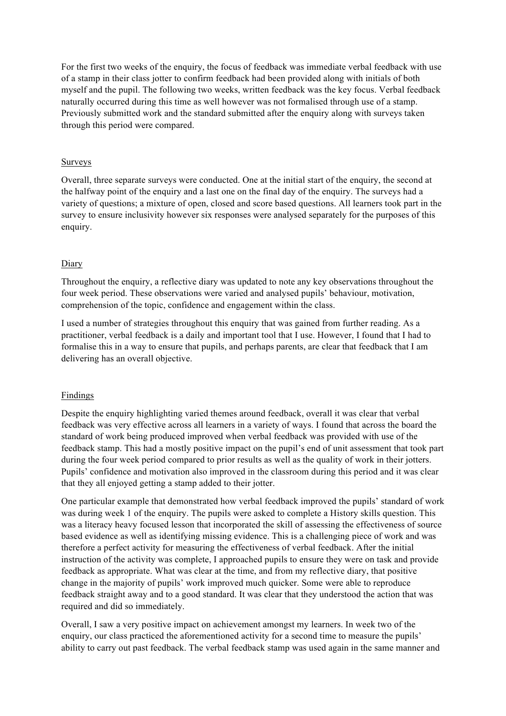For the first two weeks of the enquiry, the focus of feedback was immediate verbal feedback with use of a stamp in their class jotter to confirm feedback had been provided along with initials of both myself and the pupil. The following two weeks, written feedback was the key focus. Verbal feedback naturally occurred during this time as well however was not formalised through use of a stamp. Previously submitted work and the standard submitted after the enquiry along with surveys taken through this period were compared.

## Surveys

Overall, three separate surveys were conducted. One at the initial start of the enquiry, the second at the halfway point of the enquiry and a last one on the final day of the enquiry. The surveys had a variety of questions; a mixture of open, closed and score based questions. All learners took part in the survey to ensure inclusivity however six responses were analysed separately for the purposes of this enquiry.

## Diary

Throughout the enquiry, a reflective diary was updated to note any key observations throughout the four week period. These observations were varied and analysed pupils' behaviour, motivation, comprehension of the topic, confidence and engagement within the class.

I used a number of strategies throughout this enquiry that was gained from further reading. As a practitioner, verbal feedback is a daily and important tool that I use. However, I found that I had to formalise this in a way to ensure that pupils, and perhaps parents, are clear that feedback that I am delivering has an overall objective.

#### Findings

Despite the enquiry highlighting varied themes around feedback, overall it was clear that verbal feedback was very effective across all learners in a variety of ways. I found that across the board the standard of work being produced improved when verbal feedback was provided with use of the feedback stamp. This had a mostly positive impact on the pupil's end of unit assessment that took part during the four week period compared to prior results as well as the quality of work in their jotters. Pupils' confidence and motivation also improved in the classroom during this period and it was clear that they all enjoyed getting a stamp added to their jotter.

One particular example that demonstrated how verbal feedback improved the pupils' standard of work was during week 1 of the enquiry. The pupils were asked to complete a History skills question. This was a literacy heavy focused lesson that incorporated the skill of assessing the effectiveness of source based evidence as well as identifying missing evidence. This is a challenging piece of work and was therefore a perfect activity for measuring the effectiveness of verbal feedback. After the initial instruction of the activity was complete, I approached pupils to ensure they were on task and provide feedback as appropriate. What was clear at the time, and from my reflective diary, that positive change in the majority of pupils' work improved much quicker. Some were able to reproduce feedback straight away and to a good standard. It was clear that they understood the action that was required and did so immediately.

Overall, I saw a very positive impact on achievement amongst my learners. In week two of the enquiry, our class practiced the aforementioned activity for a second time to measure the pupils' ability to carry out past feedback. The verbal feedback stamp was used again in the same manner and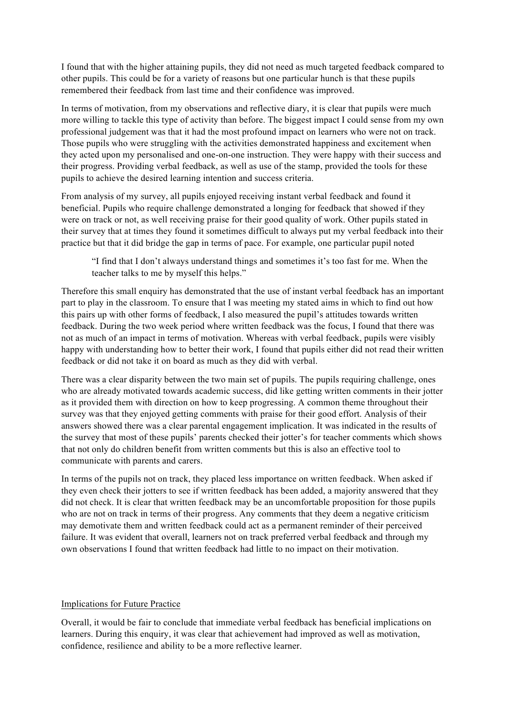I found that with the higher attaining pupils, they did not need as much targeted feedback compared to other pupils. This could be for a variety of reasons but one particular hunch is that these pupils remembered their feedback from last time and their confidence was improved.

In terms of motivation, from my observations and reflective diary, it is clear that pupils were much more willing to tackle this type of activity than before. The biggest impact I could sense from my own professional judgement was that it had the most profound impact on learners who were not on track. Those pupils who were struggling with the activities demonstrated happiness and excitement when they acted upon my personalised and one-on-one instruction. They were happy with their success and their progress. Providing verbal feedback, as well as use of the stamp, provided the tools for these pupils to achieve the desired learning intention and success criteria.

From analysis of my survey, all pupils enjoyed receiving instant verbal feedback and found it beneficial. Pupils who require challenge demonstrated a longing for feedback that showed if they were on track or not, as well receiving praise for their good quality of work. Other pupils stated in their survey that at times they found it sometimes difficult to always put my verbal feedback into their practice but that it did bridge the gap in terms of pace. For example, one particular pupil noted

"I find that I don't always understand things and sometimes it's too fast for me. When the teacher talks to me by myself this helps."

Therefore this small enquiry has demonstrated that the use of instant verbal feedback has an important part to play in the classroom. To ensure that I was meeting my stated aims in which to find out how this pairs up with other forms of feedback, I also measured the pupil's attitudes towards written feedback. During the two week period where written feedback was the focus, I found that there was not as much of an impact in terms of motivation. Whereas with verbal feedback, pupils were visibly happy with understanding how to better their work, I found that pupils either did not read their written feedback or did not take it on board as much as they did with verbal.

There was a clear disparity between the two main set of pupils. The pupils requiring challenge, ones who are already motivated towards academic success, did like getting written comments in their jotter as it provided them with direction on how to keep progressing. A common theme throughout their survey was that they enjoyed getting comments with praise for their good effort. Analysis of their answers showed there was a clear parental engagement implication. It was indicated in the results of the survey that most of these pupils' parents checked their jotter's for teacher comments which shows that not only do children benefit from written comments but this is also an effective tool to communicate with parents and carers.

In terms of the pupils not on track, they placed less importance on written feedback. When asked if they even check their jotters to see if written feedback has been added, a majority answered that they did not check. It is clear that written feedback may be an uncomfortable proposition for those pupils who are not on track in terms of their progress. Any comments that they deem a negative criticism may demotivate them and written feedback could act as a permanent reminder of their perceived failure. It was evident that overall, learners not on track preferred verbal feedback and through my own observations I found that written feedback had little to no impact on their motivation.

#### Implications for Future Practice

Overall, it would be fair to conclude that immediate verbal feedback has beneficial implications on learners. During this enquiry, it was clear that achievement had improved as well as motivation, confidence, resilience and ability to be a more reflective learner.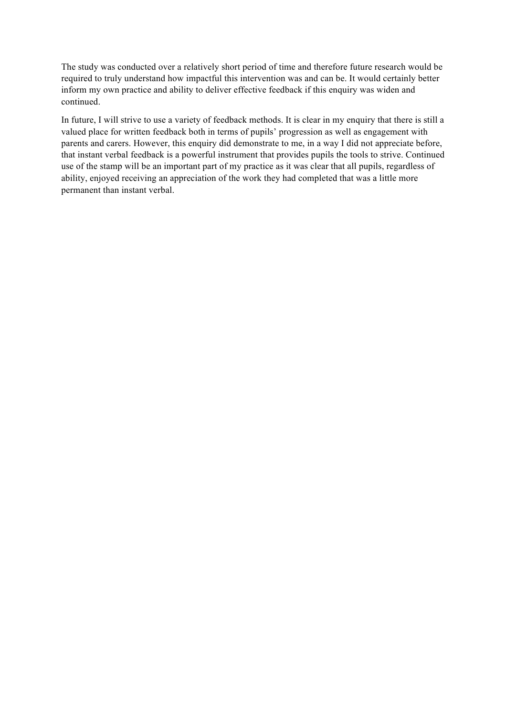The study was conducted over a relatively short period of time and therefore future research would be required to truly understand how impactful this intervention was and can be. It would certainly better inform my own practice and ability to deliver effective feedback if this enquiry was widen and continued.

In future, I will strive to use a variety of feedback methods. It is clear in my enquiry that there is still a valued place for written feedback both in terms of pupils' progression as well as engagement with parents and carers. However, this enquiry did demonstrate to me, in a way I did not appreciate before, that instant verbal feedback is a powerful instrument that provides pupils the tools to strive. Continued use of the stamp will be an important part of my practice as it was clear that all pupils, regardless of ability, enjoyed receiving an appreciation of the work they had completed that was a little more permanent than instant verbal.